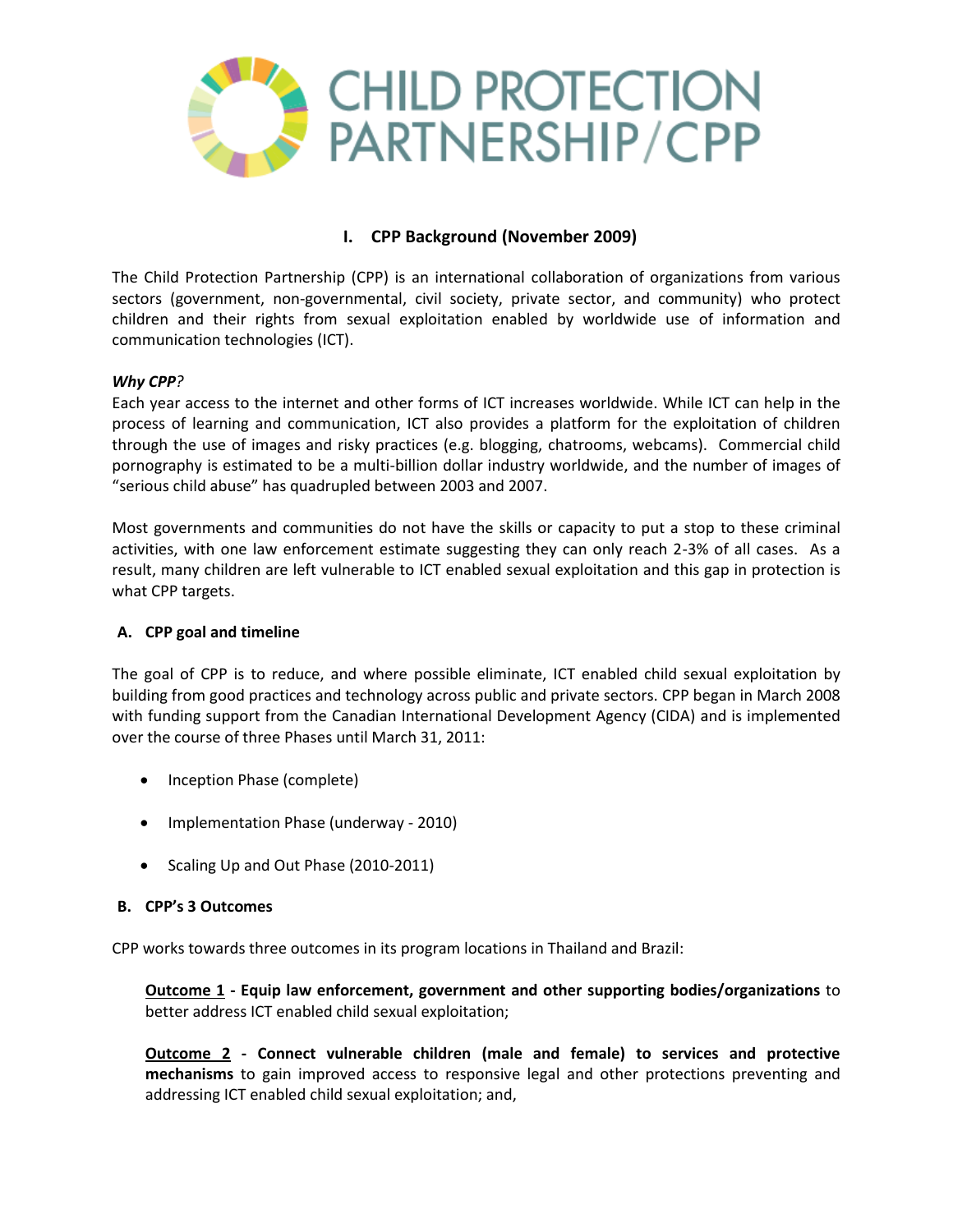

# **I. CPP Background (November 2009)**

The Child Protection Partnership (CPP) is an international collaboration of organizations from various sectors (government, non-governmental, civil society, private sector, and community) who protect children and their rights from sexual exploitation enabled by worldwide use of information and communication technologies (ICT).

## *Why CPP?*

Each year access to the internet and other forms of ICT increases worldwide. While ICT can help in the process of learning and communication, ICT also provides a platform for the exploitation of children through the use of images and risky practices (e.g. blogging, chatrooms, webcams). Commercial child pornography is estimated to be a multi-billion dollar industry worldwide, and the number of images of "serious child abuse" has quadrupled between 2003 and 2007.

Most governments and communities do not have the skills or capacity to put a stop to these criminal activities, with one law enforcement estimate suggesting they can only reach 2-3% of all cases. As a result, many children are left vulnerable to ICT enabled sexual exploitation and this gap in protection is what CPP targets.

#### **A. CPP goal and timeline**

The goal of CPP is to reduce, and where possible eliminate, ICT enabled child sexual exploitation by building from good practices and technology across public and private sectors. CPP began in March 2008 with funding support from the Canadian International Development Agency (CIDA) and is implemented over the course of three Phases until March 31, 2011:

- Inception Phase (complete)
- Implementation Phase (underway 2010)
- Scaling Up and Out Phase (2010-2011)

#### **B. CPP's 3 Outcomes**

CPP works towards three outcomes in its program locations in Thailand and Brazil:

**Outcome 1 - Equip law enforcement, government and other supporting bodies/organizations** to better address ICT enabled child sexual exploitation;

**Outcome 2 - Connect vulnerable children (male and female) to services and protective mechanisms** to gain improved access to responsive legal and other protections preventing and addressing ICT enabled child sexual exploitation; and,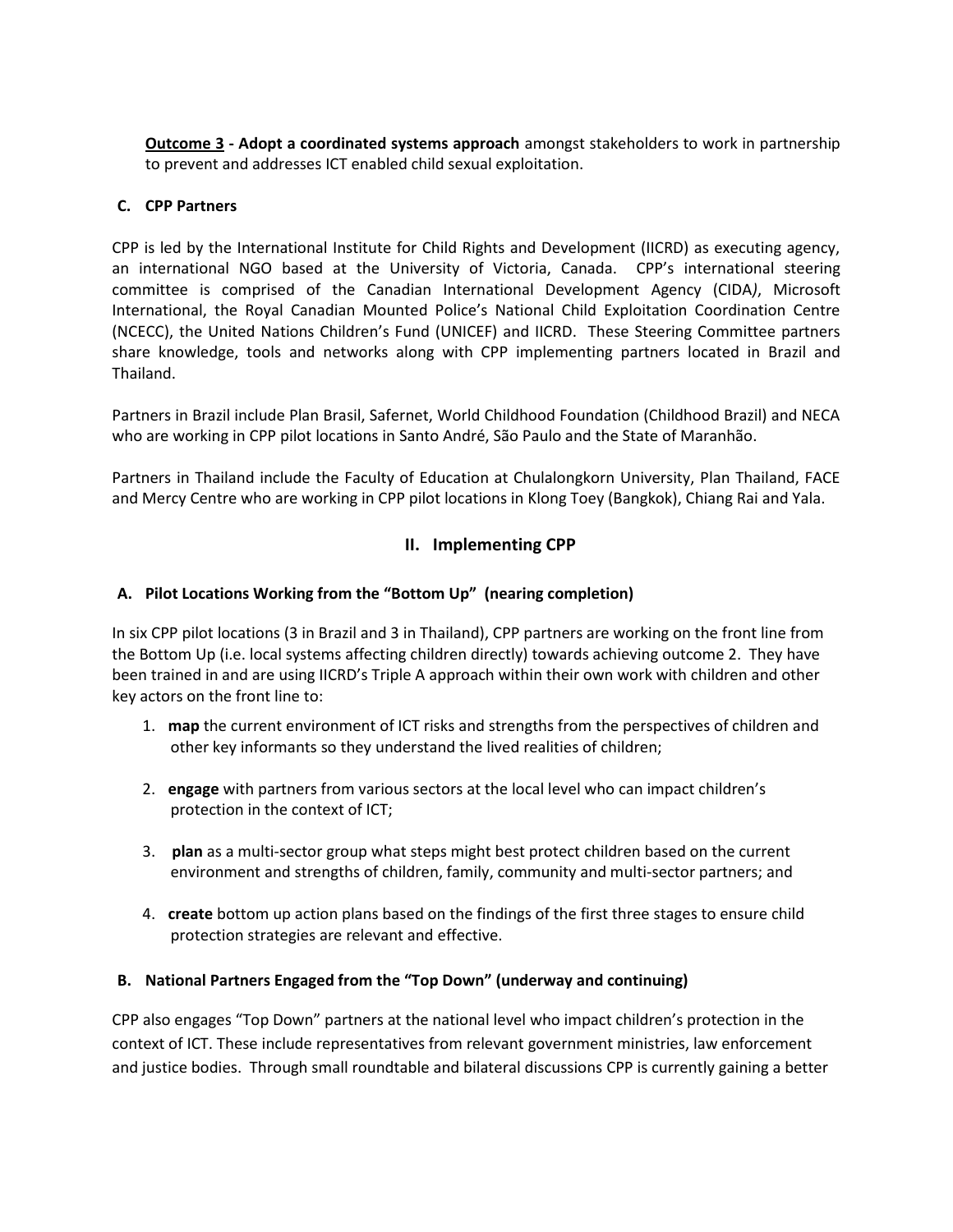**Outcome 3 - Adopt a coordinated systems approach** amongst stakeholders to work in partnership to prevent and addresses ICT enabled child sexual exploitation.

## **C. CPP Partners**

CPP is led by the International Institute for Child Rights and Development (IICRD) as executing agency, an international NGO based at the University of Victoria, Canada. CPP's international steering committee is comprised of the Canadian International Development Agency (CIDA*)*, Microsoft International, the Royal Canadian Mounted Police's National Child Exploitation Coordination Centre (NCECC), the United Nations Children's Fund (UNICEF) and IICRD. These Steering Committee partners share knowledge, tools and networks along with CPP implementing partners located in Brazil and Thailand.

Partners in Brazil include Plan Brasil, Safernet, World Childhood Foundation (Childhood Brazil) and NECA who are working in CPP pilot locations in Santo André, São Paulo and the State of Maranhão.

Partners in Thailand include the Faculty of Education at Chulalongkorn University, Plan Thailand, FACE and Mercy Centre who are working in CPP pilot locations in Klong Toey (Bangkok), Chiang Rai and Yala.

## **II. Implementing CPP**

## **A. Pilot Locations Working from the "Bottom Up" (nearing completion)**

In six CPP pilot locations (3 in Brazil and 3 in Thailand), CPP partners are working on the front line from the Bottom Up (i.e. local systems affecting children directly) towards achieving outcome 2. They have been trained in and are using IICRD's Triple A approach within their own work with children and other key actors on the front line to:

- 1. **map** the current environment of ICT risks and strengths from the perspectives of children and other key informants so they understand the lived realities of children;
- 2. **engage** with partners from various sectors at the local level who can impact children's protection in the context of ICT;
- 3. **plan** as a multi-sector group what steps might best protect children based on the current environment and strengths of children, family, community and multi-sector partners; and
- 4. **create** bottom up action plans based on the findings of the first three stages to ensure child protection strategies are relevant and effective.

#### **B. National Partners Engaged from the "Top Down" (underway and continuing)**

CPP also engages "Top Down" partners at the national level who impact children's protection in the context of ICT. These include representatives from relevant government ministries, law enforcement and justice bodies. Through small roundtable and bilateral discussions CPP is currently gaining a better